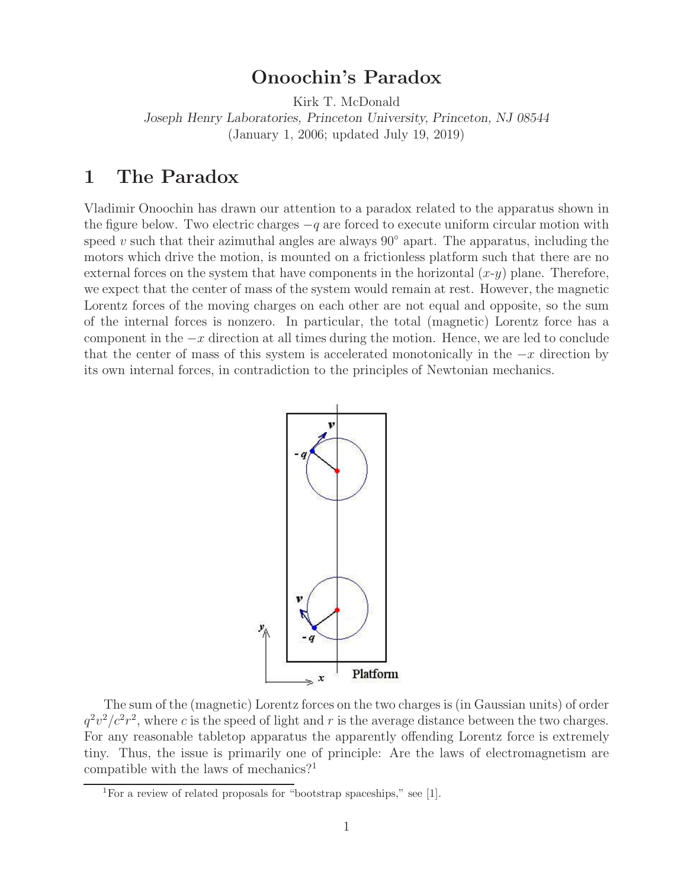# **Onoochin's Paradox**

Kirk T. McDonald *Joseph Henry Laboratories, Princeton University, Princeton, NJ 08544*

(January 1, 2006; updated July 19, 2019)

### **1 The Paradox**

Vladimir Onoochin has drawn our attention to a paradox related to the apparatus shown in the figure below. Two electric charges  $-q$  are forced to execute uniform circular motion with speed v such that their azimuthal angles are always  $90°$  apart. The apparatus, including the motors which drive the motion, is mounted on a frictionless platform such that there are no external forces on the system that have components in the horizontal  $(x-y)$  plane. Therefore, we expect that the center of mass of the system would remain at rest. However, the magnetic Lorentz forces of the moving charges on each other are not equal and opposite, so the sum of the internal forces is nonzero. In particular, the total (magnetic) Lorentz force has a component in the  $-x$  direction at all times during the motion. Hence, we are led to conclude that the center of mass of this system is accelerated monotonically in the  $-x$  direction by its own internal forces, in contradiction to the principles of Newtonian mechanics.



The sum of the (magnetic) Lorentz forces on the two charges is (in Gaussian units) of order  $q^2v^2/c^2r^2$ , where c is the speed of light and r is the average distance between the two charges. For any reasonable tabletop apparatus the apparently offending Lorentz force is extremely tiny. Thus, the issue is primarily one of principle: Are the laws of electromagnetism are compatible with the laws of mechanics?<sup>1</sup>

<sup>&</sup>lt;sup>1</sup>For a review of related proposals for "bootstrap spaceships," see [1].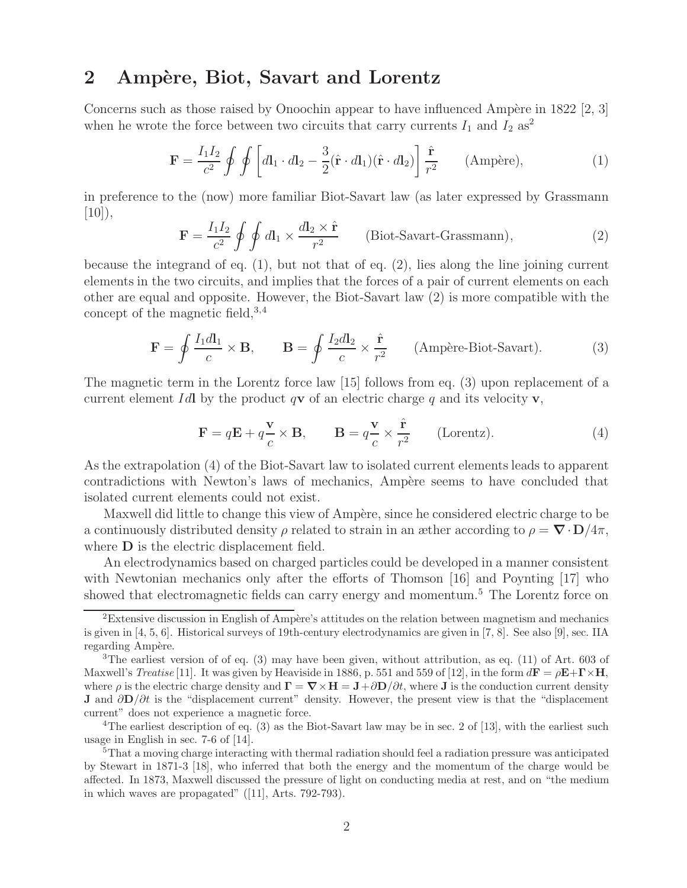#### 2 Ampère, Biot, Savart and Lorentz

Concerns such as those raised by Onoochin appear to have influenced Ampère in 1822 [2, 3] when he wrote the force between two circuits that carry currents  $I_1$  and  $I_2$  as<sup>2</sup>

$$
\mathbf{F} = \frac{I_1 I_2}{c^2} \oint \oint \left[ d\mathbf{l}_1 \cdot d\mathbf{l}_2 - \frac{3}{2} (\hat{\mathbf{r}} \cdot d\mathbf{l}_1) (\hat{\mathbf{r}} \cdot d\mathbf{l}_2) \right] \frac{\hat{\mathbf{r}}}{r^2} \qquad \text{(Ampère)},\tag{1}
$$

in preference to the (now) more familiar Biot-Savart law (as later expressed by Grassmann  $|10\rangle,$ 

$$
\mathbf{F} = \frac{I_1 I_2}{c^2} \oint \oint d\mathbf{l}_1 \times \frac{d\mathbf{l}_2 \times \hat{\mathbf{r}}}{r^2}
$$
 (Biot-Savart-Grassmann), (2)

because the integrand of eq.  $(1)$ , but not that of eq.  $(2)$ , lies along the line joining current elements in the two circuits, and implies that the forces of a pair of current elements on each other are equal and opposite. However, the Biot-Savart law (2) is more compatible with the concept of the magnetic field,  $3,4$ 

$$
\mathbf{F} = \oint \frac{I_1 dI_1}{c} \times \mathbf{B}, \qquad \mathbf{B} = \oint \frac{I_2 dI_2}{c} \times \frac{\hat{\mathbf{r}}}{r^2} \qquad \text{(Ampère-Biot-Savart)}.
$$
 (3)

The magnetic term in the Lorentz force law [15] follows from eq. (3) upon replacement of a current element Idl by the product  $q\mathbf{v}$  of an electric charge q and its velocity **v**,

$$
\mathbf{F} = q\mathbf{E} + q\frac{\mathbf{v}}{c} \times \mathbf{B}, \qquad \mathbf{B} = q\frac{\mathbf{v}}{c} \times \frac{\hat{\mathbf{r}}}{r^2} \qquad \text{(Lorentz)}.
$$
 (4)

As the extrapolation (4) of the Biot-Savart law to isolated current elements leads to apparent contradictions with Newton's laws of mechanics, Ampère seems to have concluded that isolated current elements could not exist.

Maxwell did little to change this view of Ampère, since he considered electric charge to be a continuously distributed density  $\rho$  related to strain in an æther according to  $\rho = \nabla \cdot \mathbf{D}/4\pi$ , where **D** is the electric displacement field.

An electrodynamics based on charged particles could be developed in a manner consistent with Newtonian mechanics only after the efforts of Thomson [16] and Poynting [17] who showed that electromagnetic fields can carry energy and momentum.<sup>5</sup> The Lorentz force on

 ${}^{2}$ Extensive discussion in English of Ampère's attitudes on the relation between magnetism and mechanics is given in [4, 5, 6]. Historical surveys of 19th-century electrodynamics are given in [7, 8]. See also [9], sec. IIA regarding Ampère.

<sup>3</sup>The earliest version of of eq. (3) may have been given, without attribution, as eq. (11) of Art. 603 of Maxwell's *Treatise* [11]. It was given by Heaviside in 1886, p. 551 and 559 of [12], in the form  $d\mathbf{F} = \rho \mathbf{E} + \mathbf{\Gamma} \times \mathbf{H}$ , where  $\rho$  is the electric charge density and  $\mathbf{\Gamma} = \nabla \times \mathbf{H} = \mathbf{J} + \partial \mathbf{D}/\partial t$ , where **J** is the conduction current density **J** and ∂**D**/∂t is the "displacement current" density. However, the present view is that the "displacement current" does not experience a magnetic force.

<sup>&</sup>lt;sup>4</sup>The earliest description of eq. (3) as the Biot-Savart law may be in sec. 2 of [13], with the earliest such usage in English in sec. 7-6 of [14].

<sup>&</sup>lt;sup>5</sup>That a moving charge interacting with thermal radiation should feel a radiation pressure was anticipated by Stewart in 1871-3 [18], who inferred that both the energy and the momentum of the charge would be affected. In 1873, Maxwell discussed the pressure of light on conducting media at rest, and on "the medium in which waves are propagated" ([11], Arts. 792-793).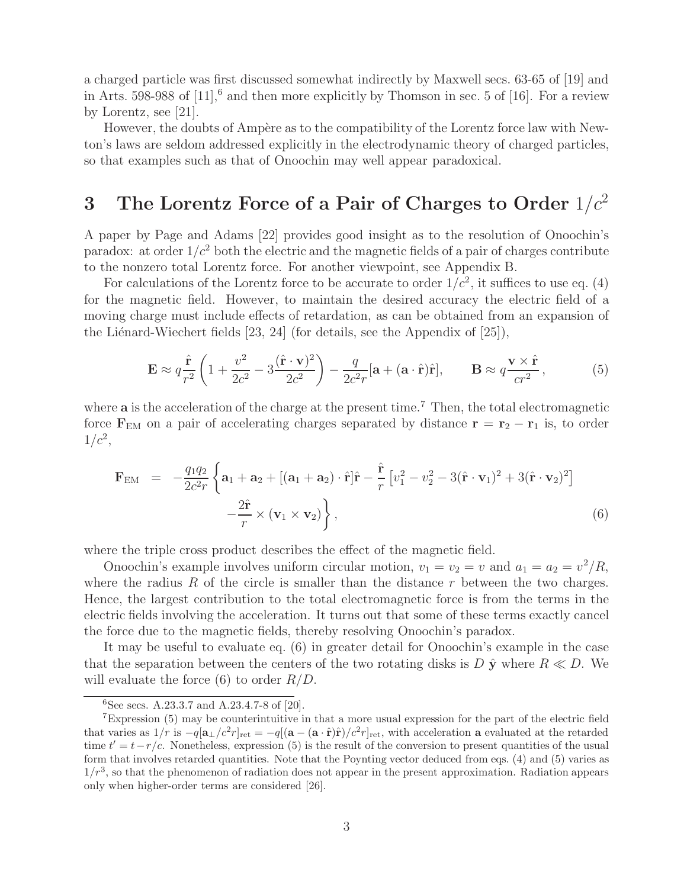a charged particle was first discussed somewhat indirectly by Maxwell secs. 63-65 of [19] and in Arts. 598-988 of  $[11]$ ,  $\delta$  and then more explicitly by Thomson in sec. 5 of  $[16]$ . For a review by Lorentz, see [21].

However, the doubts of Ampère as to the compatibility of the Lorentz force law with Newton's laws are seldom addressed explicitly in the electrodynamic theory of charged particles, so that examples such as that of Onoochin may well appear paradoxical.

# **3** The Lorentz Force of a Pair of Charges to Order  $1/c^2$

A paper by Page and Adams [22] provides good insight as to the resolution of Onoochin's paradox: at order  $1/c^2$  both the electric and the magnetic fields of a pair of charges contribute to the nonzero total Lorentz force. For another viewpoint, see Appendix B.

For calculations of the Lorentz force to be accurate to order  $1/c^2$ , it suffices to use eq. (4) for the magnetic field. However, to maintain the desired accuracy the electric field of a moving charge must include effects of retardation, as can be obtained from an expansion of the Liénard-Wiechert fields  $[23, 24]$  (for details, see the Appendix of  $[25]$ ),

$$
\mathbf{E} \approx q \frac{\hat{\mathbf{r}}}{r^2} \left( 1 + \frac{v^2}{2c^2} - 3 \frac{(\hat{\mathbf{r}} \cdot \mathbf{v})^2}{2c^2} \right) - \frac{q}{2c^2 r} [\mathbf{a} + (\mathbf{a} \cdot \hat{\mathbf{r}}) \hat{\mathbf{r}}], \qquad \mathbf{B} \approx q \frac{\mathbf{v} \times \hat{\mathbf{r}}}{cr^2}, \tag{5}
$$

where **a** is the acceleration of the charge at the present time.<sup>7</sup> Then, the total electromagnetic force  $\mathbf{F}_{EM}$  on a pair of accelerating charges separated by distance  $\mathbf{r} = \mathbf{r}_2 - \mathbf{r}_1$  is, to order  $1/c^2$ ,

$$
\mathbf{F}_{\text{EM}} = -\frac{q_1 q_2}{2c^2 r} \left\{ \mathbf{a}_1 + \mathbf{a}_2 + \left[ (\mathbf{a}_1 + \mathbf{a}_2) \cdot \hat{\mathbf{r}} \right] \hat{\mathbf{r}} - \frac{\hat{\mathbf{r}}}{r} \left[ v_1^2 - v_2^2 - 3(\hat{\mathbf{r}} \cdot \mathbf{v}_1)^2 + 3(\hat{\mathbf{r}} \cdot \mathbf{v}_2)^2 \right] - \frac{2\hat{\mathbf{r}}}{r} \times (\mathbf{v}_1 \times \mathbf{v}_2) \right\},
$$
\n(6)

where the triple cross product describes the effect of the magnetic field.

Onoochin's example involves uniform circular motion,  $v_1 = v_2 = v$  and  $a_1 = a_2 = v^2/R$ , where the radius R of the circle is smaller than the distance  $r$  between the two charges. Hence, the largest contribution to the total electromagnetic force is from the terms in the electric fields involving the acceleration. It turns out that some of these terms exactly cancel the force due to the magnetic fields, thereby resolving Onoochin's paradox.

It may be useful to evaluate eq. (6) in greater detail for Onoochin's example in the case that the separation between the centers of the two rotating disks is  $D \hat{y}$  where  $R \ll D$ . We will evaluate the force  $(6)$  to order  $R/D$ .

 $6$ See secs. A.23.3.7 and A.23.4.7-8 of [20].

<sup>7</sup>Expression (5) may be counterintuitive in that a more usual expression for the part of the electric field that varies as  $1/r$  is  $-q[a_\perp/c^2r]_{\text{ret}} = -q[(\mathbf{a} - (\mathbf{a} \cdot \hat{\mathbf{r}})\hat{\mathbf{r}})/c^2r]_{\text{ret}}$ , with acceleration **a** evaluated at the retarded time  $t' = t - r/c$ . Nonetheless, expression (5) is the result of the conversion to present quantities of the usual form that involves retarded quantities. Note that the Poynting vector deduced from eqs. (4) and (5) varies as  $1/r<sup>3</sup>$ , so that the phenomenon of radiation does not appear in the present approximation. Radiation appears only when higher-order terms are considered [26].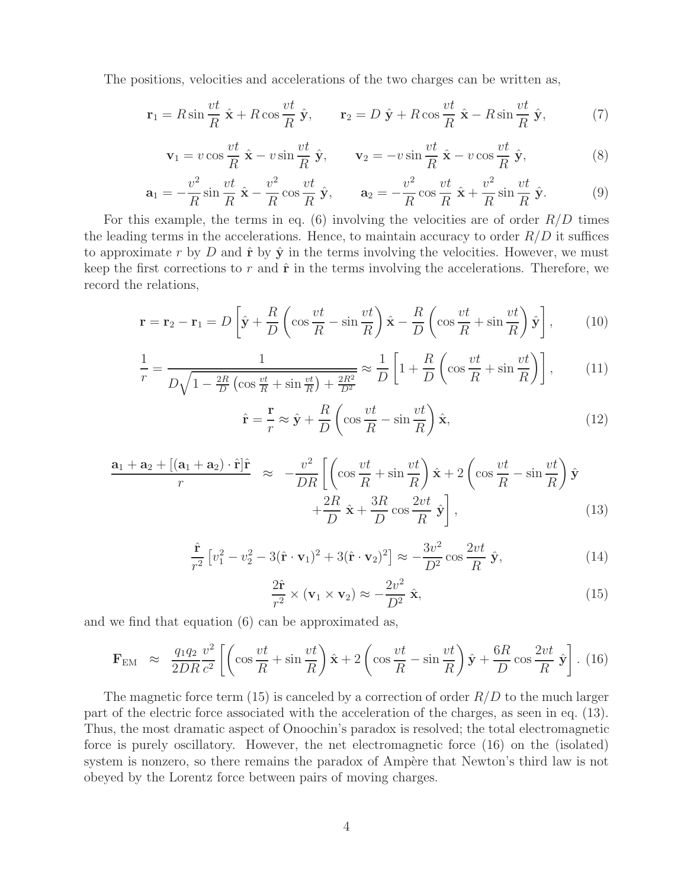The positions, velocities and accelerations of the two charges can be written as,

$$
\mathbf{r}_1 = R \sin \frac{vt}{R} \hat{\mathbf{x}} + R \cos \frac{vt}{R} \hat{\mathbf{y}}, \qquad \mathbf{r}_2 = D \hat{\mathbf{y}} + R \cos \frac{vt}{R} \hat{\mathbf{x}} - R \sin \frac{vt}{R} \hat{\mathbf{y}}, \tag{7}
$$

$$
\mathbf{v}_1 = v \cos \frac{vt}{R} \hat{\mathbf{x}} - v \sin \frac{vt}{R} \hat{\mathbf{y}}, \qquad \mathbf{v}_2 = -v \sin \frac{vt}{R} \hat{\mathbf{x}} - v \cos \frac{vt}{R} \hat{\mathbf{y}}, \tag{8}
$$

$$
\mathbf{a}_1 = -\frac{v^2}{R}\sin\frac{vt}{R}\hat{\mathbf{x}} - \frac{v^2}{R}\cos\frac{vt}{R}\hat{\mathbf{y}}, \qquad \mathbf{a}_2 = -\frac{v^2}{R}\cos\frac{vt}{R}\hat{\mathbf{x}} + \frac{v^2}{R}\sin\frac{vt}{R}\hat{\mathbf{y}}.
$$
 (9)

For this example, the terms in eq. (6) involving the velocities are of order  $R/D$  times the leading terms in the accelerations. Hence, to maintain accuracy to order  $R/D$  it suffices to approximate r by D and  $\hat{\bf{r}}$  by  $\hat{\bf{y}}$  in the terms involving the velocities. However, we must keep the first corrections to r and  $\hat{\bf r}$  in the terms involving the accelerations. Therefore, we record the relations,

$$
\mathbf{r} = \mathbf{r}_2 - \mathbf{r}_1 = D \left[ \hat{\mathbf{y}} + \frac{R}{D} \left( \cos \frac{vt}{R} - \sin \frac{vt}{R} \right) \hat{\mathbf{x}} - \frac{R}{D} \left( \cos \frac{vt}{R} + \sin \frac{vt}{R} \right) \hat{\mathbf{y}} \right],
$$
(10)

$$
\frac{1}{r} = \frac{1}{D\sqrt{1 - \frac{2R}{D}\left(\cos\frac{vt}{R} + \sin\frac{vt}{R}\right) + \frac{2R^2}{D^2}}} \approx \frac{1}{D}\left[1 + \frac{R}{D}\left(\cos\frac{vt}{R} + \sin\frac{vt}{R}\right)\right],\tag{11}
$$

$$
\hat{\mathbf{r}} = \frac{\mathbf{r}}{r} \approx \hat{\mathbf{y}} + \frac{R}{D} \left( \cos \frac{vt}{R} - \sin \frac{vt}{R} \right) \hat{\mathbf{x}},\tag{12}
$$

$$
\frac{\mathbf{a}_1 + \mathbf{a}_2 + [(\mathbf{a}_1 + \mathbf{a}_2) \cdot \hat{\mathbf{r}}] \hat{\mathbf{r}}}{r} \approx -\frac{v^2}{DR} \left[ \left( \cos \frac{vt}{R} + \sin \frac{vt}{R} \right) \hat{\mathbf{x}} + 2 \left( \cos \frac{vt}{R} - \sin \frac{vt}{R} \right) \hat{\mathbf{y}} + \frac{2R}{D} \hat{\mathbf{x}} + \frac{3R}{D} \cos \frac{2vt}{R} \hat{\mathbf{y}} \right],
$$
(13)

$$
\frac{\hat{\mathbf{r}}}{r^2} \left[ v_1^2 - v_2^2 - 3(\hat{\mathbf{r}} \cdot \mathbf{v}_1)^2 + 3(\hat{\mathbf{r}} \cdot \mathbf{v}_2)^2 \right] \approx -\frac{3v^2}{D^2} \cos \frac{2vt}{R} \hat{\mathbf{y}},\tag{14}
$$

$$
\frac{2\hat{\mathbf{r}}}{r^2} \times (\mathbf{v}_1 \times \mathbf{v}_2) \approx -\frac{2v^2}{D^2} \hat{\mathbf{x}},\tag{15}
$$

and we find that equation (6) can be approximated as,

$$
\mathbf{F}_{\text{EM}} \approx \frac{q_1 q_2 v^2}{2DR c^2} \left[ \left( \cos \frac{vt}{R} + \sin \frac{vt}{R} \right) \hat{\mathbf{x}} + 2 \left( \cos \frac{vt}{R} - \sin \frac{vt}{R} \right) \hat{\mathbf{y}} + \frac{6R}{D} \cos \frac{2vt}{R} \hat{\mathbf{y}} \right]. \tag{16}
$$

The magnetic force term  $(15)$  is canceled by a correction of order  $R/D$  to the much larger part of the electric force associated with the acceleration of the charges, as seen in eq. (13). Thus, the most dramatic aspect of Onoochin's paradox is resolved; the total electromagnetic force is purely oscillatory. However, the net electromagnetic force (16) on the (isolated) system is nonzero, so there remains the paradox of Ampère that Newton's third law is not obeyed by the Lorentz force between pairs of moving charges.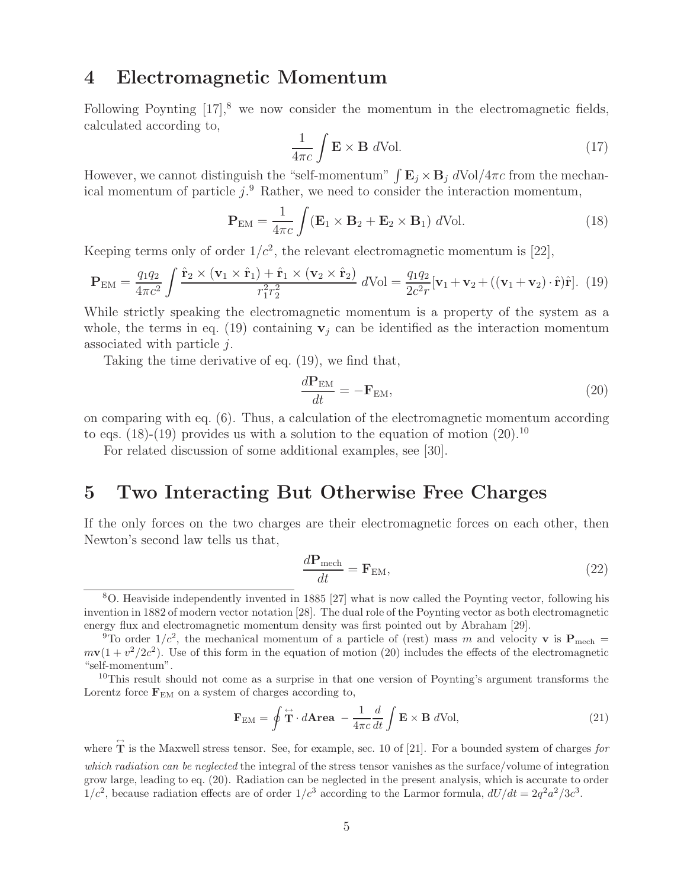#### **4 Electromagnetic Momentum**

Following Poynting  $[17]$ ,<sup>8</sup> we now consider the momentum in the electromagnetic fields, calculated according to,

$$
\frac{1}{4\pi c} \int \mathbf{E} \times \mathbf{B} \, d\text{Vol.} \tag{17}
$$

However, we cannot distinguish the "self-momentum"  $\int \mathbf{E}_j \times \mathbf{B}_j d\text{Vol}/4\pi c$  from the mechanical momentum of particle  $j$ .<sup>9</sup> Rather, we need to consider the interaction momentum,

$$
\mathbf{P}_{\text{EM}} = \frac{1}{4\pi c} \int (\mathbf{E}_1 \times \mathbf{B}_2 + \mathbf{E}_2 \times \mathbf{B}_1) \ d\text{Vol.}
$$
 (18)

Keeping terms only of order  $1/c^2$ , the relevant electromagnetic momentum is [22],

$$
\mathbf{P}_{\text{EM}} = \frac{q_1 q_2}{4\pi c^2} \int \frac{\hat{\mathbf{r}}_2 \times (\mathbf{v}_1 \times \hat{\mathbf{r}}_1) + \hat{\mathbf{r}}_1 \times (\mathbf{v}_2 \times \hat{\mathbf{r}}_2)}{r_1^2 r_2^2} d\text{Vol} = \frac{q_1 q_2}{2c^2 r} [\mathbf{v}_1 + \mathbf{v}_2 + ((\mathbf{v}_1 + \mathbf{v}_2) \cdot \hat{\mathbf{r}}) \hat{\mathbf{r}}].
$$
 (19)

While strictly speaking the electromagnetic momentum is a property of the system as a whole, the terms in eq. (19) containing  $v_j$  can be identified as the interaction momentum associated with particle j.

Taking the time derivative of eq. (19), we find that,

$$
\frac{d\mathbf{P}_{\text{EM}}}{dt} = -\mathbf{F}_{\text{EM}},\tag{20}
$$

on comparing with eq. (6). Thus, a calculation of the electromagnetic momentum according to eqs. (18)-(19) provides us with a solution to the equation of motion  $(20)^{10}$ 

For related discussion of some additional examples, see [30].

#### **5 Two Interacting But Otherwise Free Charges**

If the only forces on the two charges are their electromagnetic forces on each other, then Newton's second law tells us that,

$$
\frac{d\mathbf{P}_{\text{mech}}}{dt} = \mathbf{F}_{\text{EM}},\tag{22}
$$

$$
\mathbf{F}_{\rm EM} = \oint \mathbf{\vec{T}} \cdot d\mathbf{Area} - \frac{1}{4\pi c} \frac{d}{dt} \int \mathbf{E} \times \mathbf{B} \ d\text{Vol}, \tag{21}
$$

where  $\hat{\mathbf{T}}$  is the Maxwell stress tensor. See, for example, sec. 10 of [21]. For a bounded system of charges *for which radiation can be neglected* the integral of the stress tensor vanishes as the surface/volume of integration grow large, leading to eq. (20). Radiation can be neglected in the present analysis, which is accurate to order  $1/c^2$ , because radiation effects are of order  $1/c^3$  according to the Larmor formula,  $dU/dt = 2q^2a^2/3c^3$ .

<sup>8</sup>O. Heaviside independently invented in 1885 [27] what is now called the Poynting vector, following his invention in 1882 of modern vector notation [28]. The dual role of the Poynting vector as both electromagnetic energy flux and electromagnetic momentum density was first pointed out by Abraham [29].

<sup>&</sup>lt;sup>9</sup>To order  $1/c^2$ , the mechanical momentum of a particle of (rest) mass m and velocity **v** is  $\mathbf{P}_{\text{mech}} =$  $m\mathbf{v}(1 + v^2/2c^2)$ . Use of this form in the equation of motion (20) includes the effects of the electromagnetic "self-momentum".

 $10$ This result should not come as a surprise in that one version of Poynting's argument transforms the Lorentz force  $\mathbf{F}_{EM}$  on a system of charges according to,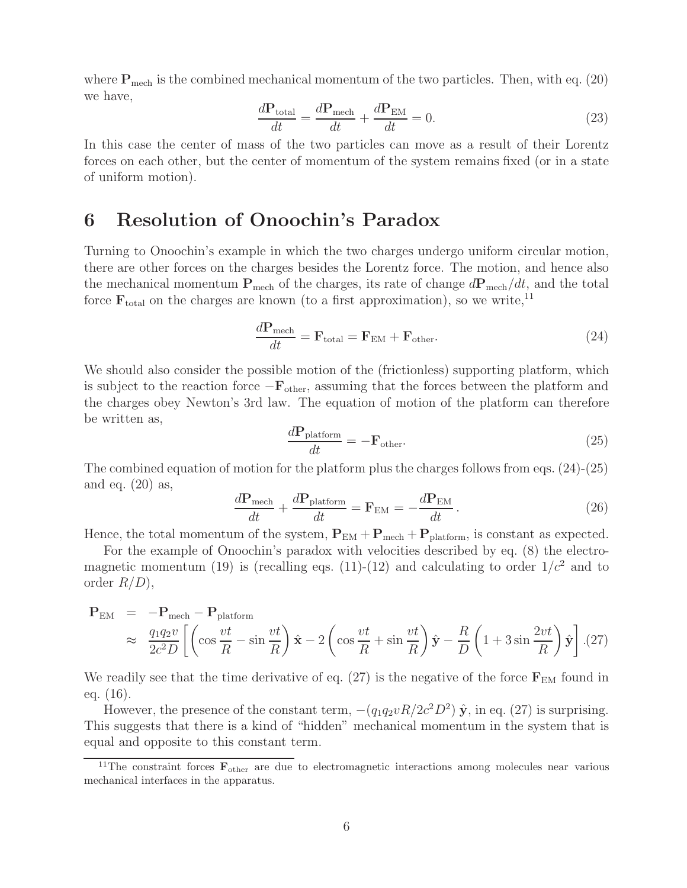where  $P_{\text{mech}}$  is the combined mechanical momentum of the two particles. Then, with eq. (20) we have,

$$
\frac{d\mathbf{P}_{\text{total}}}{dt} = \frac{d\mathbf{P}_{\text{mech}}}{dt} + \frac{d\mathbf{P}_{\text{EM}}}{dt} = 0.
$$
\n(23)

In this case the center of mass of the two particles can move as a result of their Lorentz forces on each other, but the center of momentum of the system remains fixed (or in a state of uniform motion).

## **6 Resolution of Onoochin's Paradox**

Turning to Onoochin's example in which the two charges undergo uniform circular motion, there are other forces on the charges besides the Lorentz force. The motion, and hence also the mechanical momentum  $P_{\text{mech}}$  of the charges, its rate of change  $dP_{\text{mech}}/dt$ , and the total force  $\mathbf{F}_{total}$  on the charges are known (to a first approximation), so we write,<sup>11</sup>

$$
\frac{d\mathbf{P}_{\text{mech}}}{dt} = \mathbf{F}_{\text{total}} = \mathbf{F}_{\text{EM}} + \mathbf{F}_{\text{other}}.
$$
\n(24)

We should also consider the possible motion of the (frictionless) supporting platform, which is subject to the reaction force −**F**other, assuming that the forces between the platform and the charges obey Newton's 3rd law. The equation of motion of the platform can therefore be written as,

$$
\frac{d\mathbf{P}_{\text{platform}}}{dt} = -\mathbf{F}_{\text{other}}.\tag{25}
$$

The combined equation of motion for the platform plus the charges follows from eqs. (24)-(25) and eq.  $(20)$  as,

$$
\frac{d\mathbf{P}_{\text{mech}}}{dt} + \frac{d\mathbf{P}_{\text{platform}}}{dt} = \mathbf{F}_{\text{EM}} = -\frac{d\mathbf{P}_{\text{EM}}}{dt}.
$$
\n(26)

Hence, the total momentum of the system,  $P_{EM} + P_{mech} + P_{platform}$ , is constant as expected.

For the example of Onoochin's paradox with velocities described by eq. (8) the electromagnetic momentum (19) is (recalling eqs. (11)-(12) and calculating to order  $1/c^2$  and to order  $R/D$ ,

$$
\mathbf{P}_{\text{EM}} = -\mathbf{P}_{\text{mech}} - \mathbf{P}_{\text{platform}} \times \frac{\partial^2 T}{\partial^2 D} \left[ \left( \cos \frac{vt}{R} - \sin \frac{vt}{R} \right) \hat{\mathbf{x}} - 2 \left( \cos \frac{vt}{R} + \sin \frac{vt}{R} \right) \hat{\mathbf{y}} - \frac{R}{D} \left( 1 + 3 \sin \frac{2vt}{R} \right) \hat{\mathbf{y}} \right]. (27)
$$

We readily see that the time derivative of eq.  $(27)$  is the negative of the force  $\mathbf{F}_{EM}$  found in eq. (16).

However, the presence of the constant term,  $-(q_1q_2vR/2c^2D^2)\hat{y}$ , in eq. (27) is surprising. This suggests that there is a kind of "hidden" mechanical momentum in the system that is equal and opposite to this constant term.

<sup>&</sup>lt;sup>11</sup>The constraint forces  $\mathbf{F}_{\text{other}}$  are due to electromagnetic interactions among molecules near various mechanical interfaces in the apparatus.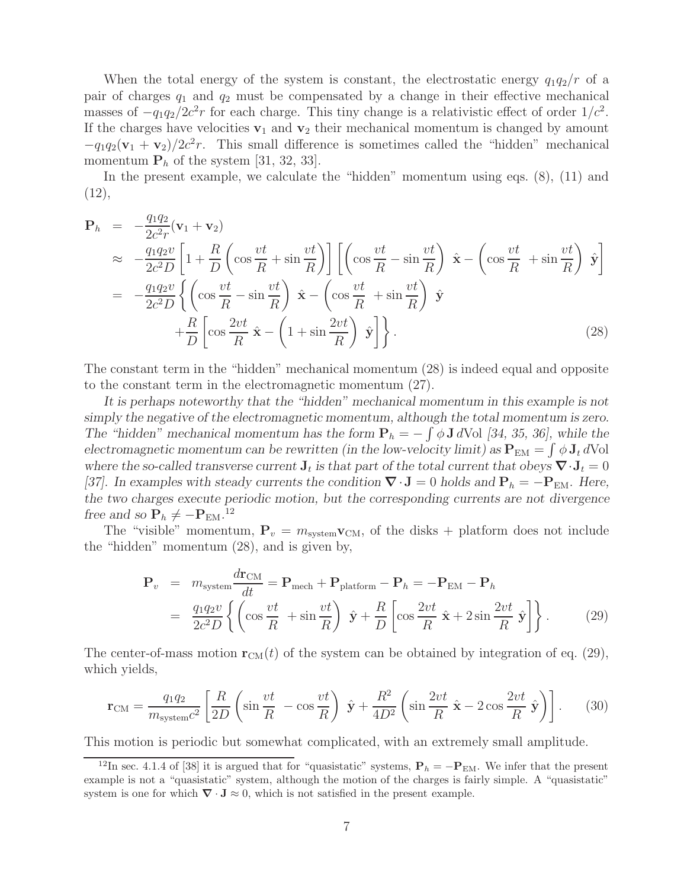When the total energy of the system is constant, the electrostatic energy  $q_1q_2/r$  of a pair of charges  $q_1$  and  $q_2$  must be compensated by a change in their effective mechanical masses of  $-q_1q_2/2c^2r$  for each charge. This tiny change is a relativistic effect of order  $1/c^2$ . If the charges have velocities  $v_1$  and  $v_2$  their mechanical momentum is changed by amount  $-q_1q_2(\mathbf{v}_1 + \mathbf{v}_2)/2c^2r$ . This small difference is sometimes called the "hidden" mechanical momentum  $P_h$  of the system [31, 32, 33].

In the present example, we calculate the "hidden" momentum using eqs.  $(8)$ ,  $(11)$  and (12),

$$
\mathbf{P}_h = -\frac{q_1 q_2}{2c^2 r} (\mathbf{v}_1 + \mathbf{v}_2)
$$
\n
$$
\approx -\frac{q_1 q_2 v}{2c^2 D} \left[ 1 + \frac{R}{D} \left( \cos \frac{vt}{R} + \sin \frac{vt}{R} \right) \right] \left[ \left( \cos \frac{vt}{R} - \sin \frac{vt}{R} \right) \hat{\mathbf{x}} - \left( \cos \frac{vt}{R} + \sin \frac{vt}{R} \right) \hat{\mathbf{y}} \right]
$$
\n
$$
= -\frac{q_1 q_2 v}{2c^2 D} \left\{ \left( \cos \frac{vt}{R} - \sin \frac{vt}{R} \right) \hat{\mathbf{x}} - \left( \cos \frac{vt}{R} + \sin \frac{vt}{R} \right) \hat{\mathbf{y}} \right.
$$
\n
$$
+ \frac{R}{D} \left[ \cos \frac{2vt}{R} \hat{\mathbf{x}} - \left( 1 + \sin \frac{2vt}{R} \right) \hat{\mathbf{y}} \right] \right\}. \tag{28}
$$

The constant term in the "hidden" mechanical momentum (28) is indeed equal and opposite to the constant term in the electromagnetic momentum (27).

*It is perhaps noteworthy that the "hidden" mechanical momentum in this example is not simply the negative of the electromagnetic momentum, although the total momentum is zero. The "hidden" mechanical momentum has the form*  $P_h = -\int \phi \mathbf{J} dV$  *Q* $\int$  *[34, 35, 36], while the electromagnetic momentum can be rewritten (in the low-velocity limit) as*  $P_{EM} = \int \phi J_t dVol$ *where the so-called transverse current*  $J_t$  *is that part of the total current that obeys*  $\nabla \cdot J_t = 0$ *[37].* In examples with steady currents the condition  $\nabla \cdot \mathbf{J} = 0$  holds and  $\mathbf{P}_h = -\mathbf{P}_{EM}$ . Here, *the two charges execute periodic motion, but the corresponding currents are not divergence free and so*  $\mathbf{P}_h \neq -\mathbf{P}_{EM}$ .<sup>12</sup>

The "visible" momentum,  $P_v = m_{\text{system}}v_{\text{CM}}$ , of the disks + platform does not include the "hidden" momentum (28), and is given by,

$$
\mathbf{P}_v = m_{\text{system}} \frac{d\mathbf{r}_{\text{CM}}}{dt} = \mathbf{P}_{\text{mech}} + \mathbf{P}_{\text{platform}} - \mathbf{P}_h = -\mathbf{P}_{\text{EM}} - \mathbf{P}_h
$$

$$
= \frac{q_1 q_2 v}{2c^2 D} \left\{ \left( \cos \frac{vt}{R} + \sin \frac{vt}{R} \right) \hat{\mathbf{y}} + \frac{R}{D} \left[ \cos \frac{2vt}{R} \hat{\mathbf{x}} + 2 \sin \frac{2vt}{R} \hat{\mathbf{y}} \right] \right\}. \tag{29}
$$

The center-of-mass motion  $\mathbf{r}_{CM}(t)$  of the system can be obtained by integration of eq. (29), which yields,

$$
\mathbf{r}_{\text{CM}} = \frac{q_1 q_2}{m_{\text{system}} c^2} \left[ \frac{R}{2D} \left( \sin \frac{vt}{R} - \cos \frac{vt}{R} \right) \hat{\mathbf{y}} + \frac{R^2}{4D^2} \left( \sin \frac{2vt}{R} \hat{\mathbf{x}} - 2 \cos \frac{2vt}{R} \hat{\mathbf{y}} \right) \right].
$$
 (30)

This motion is periodic but somewhat complicated, with an extremely small amplitude.

<sup>&</sup>lt;sup>12</sup>In sec. 4.1.4 of [38] it is argued that for "quasistatic" systems,  $P_h = -P_{EM}$ . We infer that the present example is not a "quasistatic" system, although the motion of the charges is fairly simple. A "quasistatic" system is one for which  $\nabla \cdot \mathbf{J} \approx 0$ , which is not satisfied in the present example.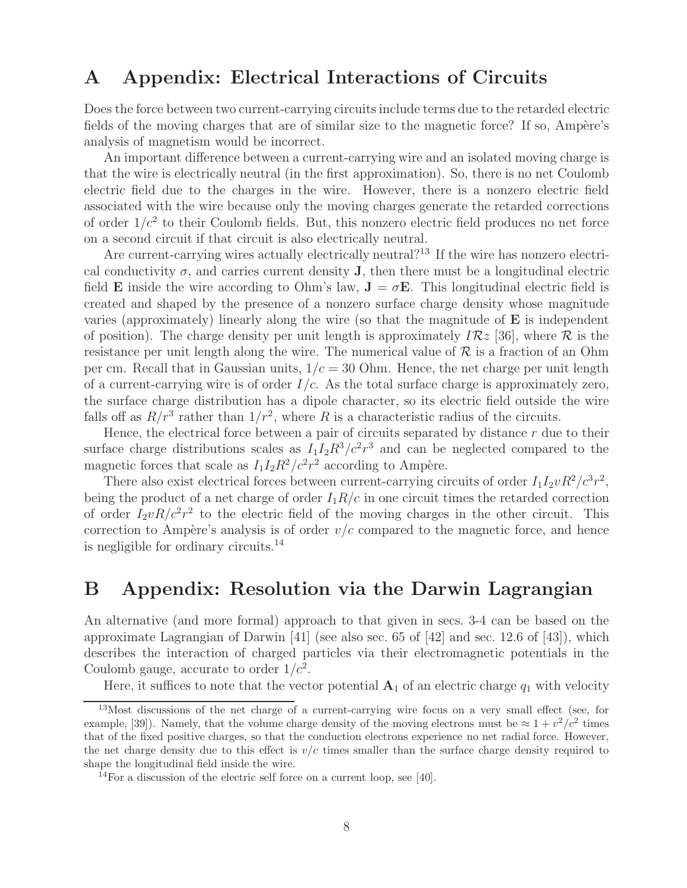## **A Appendix: Electrical Interactions of Circuits**

Does the force between two current-carrying circuits include terms due to the retarded electric fields of the moving charges that are of similar size to the magnetic force? If so, Ampère's analysis of magnetism would be incorrect.

An important difference between a current-carrying wire and an isolated moving charge is that the wire is electrically neutral (in the first approximation). So, there is no net Coulomb electric field due to the charges in the wire. However, there is a nonzero electric field associated with the wire because only the moving charges generate the retarded corrections of order  $1/c^2$  to their Coulomb fields. But, this nonzero electric field produces no net force on a second circuit if that circuit is also electrically neutral.

Are current-carrying wires actually electrically neutral?<sup>13</sup> If the wire has nonzero electrical conductivity  $\sigma$ , and carries current density **J**, then there must be a longitudinal electric field **E** inside the wire according to Ohm's law,  $\mathbf{J} = \sigma \mathbf{E}$ . This longitudinal electric field is created and shaped by the presence of a nonzero surface charge density whose magnitude varies (approximately) linearly along the wire (so that the magnitude of **E** is independent of position). The charge density per unit length is approximately  $IRz$  [36], where R is the resistance per unit length along the wire. The numerical value of  $\mathcal R$  is a fraction of an Ohm per cm. Recall that in Gaussian units,  $1/c = 30$  Ohm. Hence, the net charge per unit length of a current-carrying wire is of order  $I/c$ . As the total surface charge is approximately zero, the surface charge distribution has a dipole character, so its electric field outside the wire falls off as  $R/r^3$  rather than  $1/r^2$ , where R is a characteristic radius of the circuits.

Hence, the electrical force between a pair of circuits separated by distance  $r$  due to their surface charge distributions scales as  $I_1I_2R^3/c^2r^3$  and can be neglected compared to the magnetic forces that scale as  $I_1I_2R^2/c^2r^2$  according to Ampère.

There also exist electrical forces between current-carrying circuits of order  $I_1I_2vR^2/c^3r^2$ , being the product of a net charge of order  $I_1R/c$  in one circuit times the retarded correction of order  $I_2vR/c^2r^2$  to the electric field of the moving charges in the other circuit. This correction to Ampère's analysis is of order  $v/c$  compared to the magnetic force, and hence is negligible for ordinary circuits.<sup>14</sup>

### **B Appendix: Resolution via the Darwin Lagrangian**

An alternative (and more formal) approach to that given in secs. 3-4 can be based on the approximate Lagrangian of Darwin [41] (see also sec. 65 of [42] and sec. 12.6 of [43]), which describes the interaction of charged particles via their electromagnetic potentials in the Coulomb gauge, accurate to order  $1/c^2$ .

Here, it suffices to note that the vector potential  $A_1$  of an electric charge  $q_1$  with velocity

<sup>&</sup>lt;sup>13</sup>Most discussions of the net charge of a current-carrying wire focus on a very small effect (see, for example, [39]). Namely, that the volume charge density of the moving electrons must be  $\approx 1 + v^2/c^2$  times that of the fixed positive charges, so that the conduction electrons experience no net radial force. However, the net charge density due to this effect is  $v/c$  times smaller than the surface charge density required to shape the longitudinal field inside the wire.

<sup>&</sup>lt;sup>14</sup>For a discussion of the electric self force on a current loop, see [40].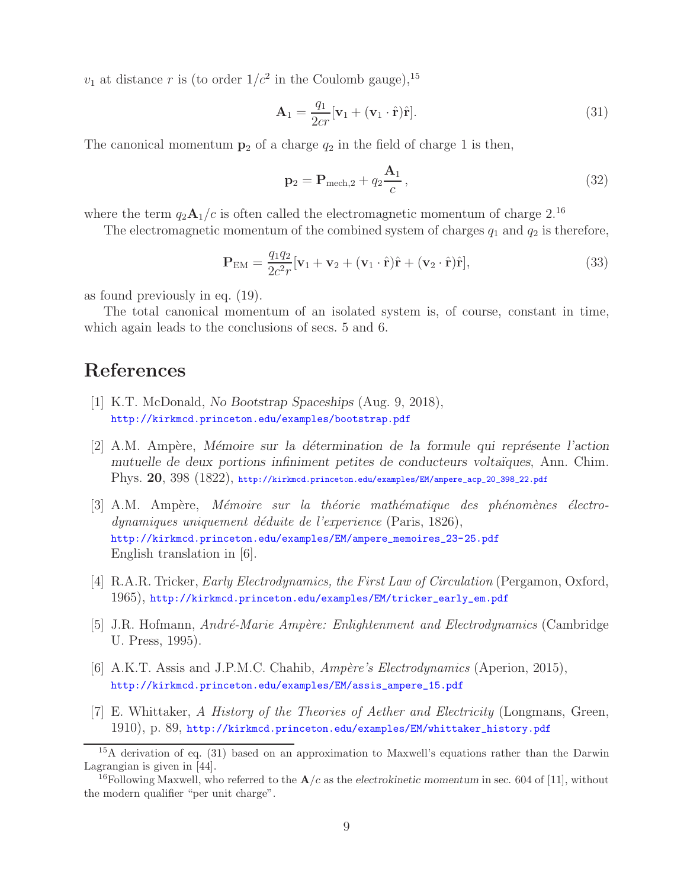$v_1$  at distance r is (to order  $1/c^2$  in the Coulomb gauge), <sup>15</sup>

$$
\mathbf{A}_1 = \frac{q_1}{2cr} [\mathbf{v}_1 + (\mathbf{v}_1 \cdot \hat{\mathbf{r}}) \hat{\mathbf{r}}]. \tag{31}
$$

The canonical momentum  $p_2$  of a charge  $q_2$  in the field of charge 1 is then,

$$
\mathbf{p}_2 = \mathbf{P}_{\text{mech},2} + q_2 \frac{\mathbf{A}_1}{c},\tag{32}
$$

where the term  $q_2\mathbf{A}_1/c$  is often called the electromagnetic momentum of charge 2.<sup>16</sup>

The electromagnetic momentum of the combined system of charges  $q_1$  and  $q_2$  is therefore,

$$
\mathbf{P}_{\text{EM}} = \frac{q_1 q_2}{2c^2 r} [\mathbf{v}_1 + \mathbf{v}_2 + (\mathbf{v}_1 \cdot \hat{\mathbf{r}}) \hat{\mathbf{r}} + (\mathbf{v}_2 \cdot \hat{\mathbf{r}}) \hat{\mathbf{r}}],
$$
(33)

as found previously in eq. (19).

The total canonical momentum of an isolated system is, of course, constant in time, which again leads to the conclusions of secs. 5 and 6.

## **References**

- [1] K.T. McDonald, *No Bootstrap Spaceships* (Aug. 9, 2018), http://kirkmcd.princeton.edu/examples/bootstrap.pdf
- [2] A.M. Amp`ere, *M´emoire sur la d´etermination de la formule qui repr´esente l'action mutuelle de deux portions infiniment petites de conducteurs volta¨ıques*, Ann. Chim. Phys. **20**, 398 (1822), http://kirkmcd.princeton.edu/examples/EM/ampere\_acp\_20\_398\_22.pdf
- [3] A.M. Ampère, *Mémoire sur la théorie mathématique des phénomènes électrodynamiques uniquement d´eduite de l'experience* (Paris, 1826), http://kirkmcd.princeton.edu/examples/EM/ampere\_memoires\_23-25.pdf English translation in [6].
- [4] R.A.R. Tricker, *Early Electrodynamics, the First Law of Circulation* (Pergamon, Oxford, 1965), http://kirkmcd.princeton.edu/examples/EM/tricker\_early\_em.pdf
- [5] J.R. Hofmann, *Andr´e-Marie Amp`ere: Enlightenment and Electrodynamics* (Cambridge U. Press, 1995).
- [6] A.K.T. Assis and J.P.M.C. Chahib, *Amp`ere's Electrodynamics* (Aperion, 2015), http://kirkmcd.princeton.edu/examples/EM/assis\_ampere\_15.pdf
- [7] E. Whittaker, *A History of the Theories of Aether and Electricity* (Longmans, Green, 1910), p. 89, http://kirkmcd.princeton.edu/examples/EM/whittaker\_history.pdf

<sup>&</sup>lt;sup>15</sup>A derivation of eq. (31) based on an approximation to Maxwell's equations rather than the Darwin Lagrangian is given in [44].

<sup>&</sup>lt;sup>16</sup>Following Maxwell, who referred to the  $A/c$  as the *electrokinetic momentum* in sec. 604 of [11], without the modern qualifier "per unit charge".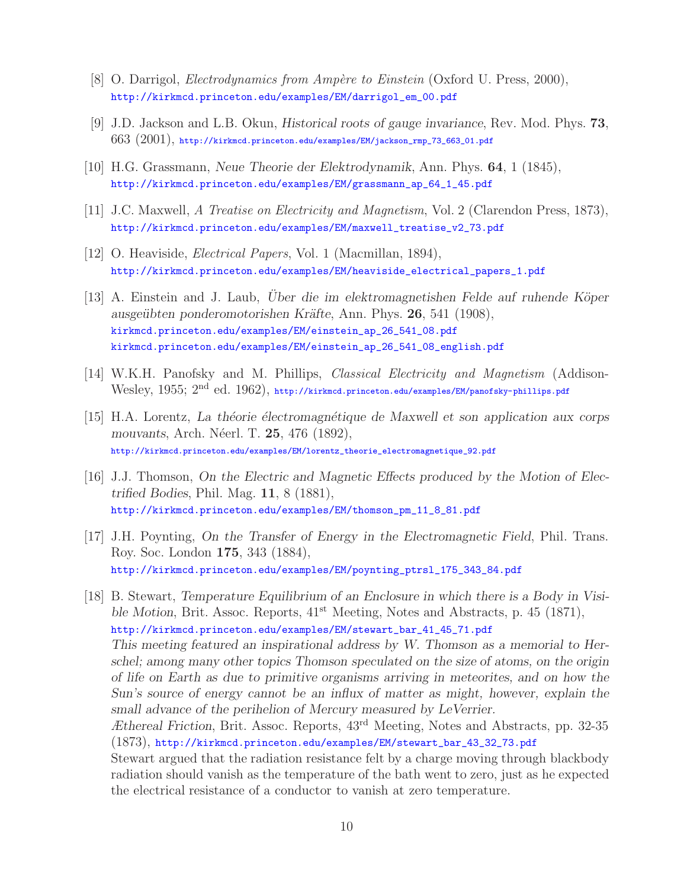- [8] O. Darrigol, *Electrodynamics from Ampère to Einstein* (Oxford U. Press, 2000), http://kirkmcd.princeton.edu/examples/EM/darrigol\_em\_00.pdf
- [9] J.D. Jackson and L.B. Okun, *Historical roots of gauge invariance*, Rev. Mod. Phys. **73**,  $663$   $(2001)$ , http://kirkmcd.princeton.edu/examples/EM/jackson\_rmp\_73\_663\_01.pdf
- [10] H.G. Grassmann, *Neue Theorie der Elektrodynamik*, Ann. Phys. **64**, 1 (1845), http://kirkmcd.princeton.edu/examples/EM/grassmann\_ap\_64\_1\_45.pdf
- [11] J.C. Maxwell, *A Treatise on Electricity and Magnetism*, Vol. 2 (Clarendon Press, 1873), http://kirkmcd.princeton.edu/examples/EM/maxwell\_treatise\_v2\_73.pdf
- [12] O. Heaviside, *Electrical Papers*, Vol. 1 (Macmillan, 1894), http://kirkmcd.princeton.edu/examples/EM/heaviside\_electrical\_papers\_1.pdf
- [13] A. Einstein and J. Laub, *Uber die im elektromagnetishen Felde auf ruhende Köper ausge¨ubten ponderomotorishen Kr¨afte*, Ann. Phys. **26**, 541 (1908), kirkmcd.princeton.edu/examples/EM/einstein\_ap\_26\_541\_08.pdf kirkmcd.princeton.edu/examples/EM/einstein\_ap\_26\_541\_08\_english.pdf
- [14] W.K.H. Panofsky and M. Phillips, *Classical Electricity and Magnetism* (Addison-Wesley, 1955; 2<sup>nd</sup> ed. 1962), http://kirkmcd.princeton.edu/examples/EM/panofsky-phillips.pdf
- [15] H.A. Lorentz, *La th´eorie ´electromagn´etique de Maxwell et son application aux corps mouvants*, Arch. N´eerl. T. **25**, 476 (1892), http://kirkmcd.princeton.edu/examples/EM/lorentz\_theorie\_electromagnetique\_92.pdf
- [16] J.J. Thomson, *On the Electric and Magnetic Effects produced by the Motion of Electrified Bodies*, Phil. Mag. **11**, 8 (1881), http://kirkmcd.princeton.edu/examples/EM/thomson\_pm\_11\_8\_81.pdf
- [17] J.H. Poynting, *On the Transfer of Energy in the Electromagnetic Field*, Phil. Trans. Roy. Soc. London **175**, 343 (1884), http://kirkmcd.princeton.edu/examples/EM/poynting\_ptrsl\_175\_343\_84.pdf
- [18] B. Stewart, *Temperature Equilibrium of an Enclosure in which there is a Body in Visible Motion*, Brit. Assoc. Reports,  $41<sup>st</sup>$  Meeting, Notes and Abstracts, p. 45 (1871), http://kirkmcd.princeton.edu/examples/EM/stewart\_bar\_41\_45\_71.pdf *This meeting featured an inspirational address by W. Thomson as a memorial to Herschel; among many other topics Thomson speculated on the size of atoms, on the origin of life on Earth as due to primitive organisms arriving in meteorites, and on how the Sun's source of energy cannot be an influx of matter as might, however, explain the small advance of the perihelion of Mercury measured by LeVerrier. Æthereal Friction*, Brit. Assoc. Reports, 43rd Meeting, Notes and Abstracts, pp. 32-35 (1873), http://kirkmcd.princeton.edu/examples/EM/stewart\_bar\_43\_32\_73.pdf Stewart argued that the radiation resistance felt by a charge moving through blackbody radiation should vanish as the temperature of the bath went to zero, just as he expected the electrical resistance of a conductor to vanish at zero temperature.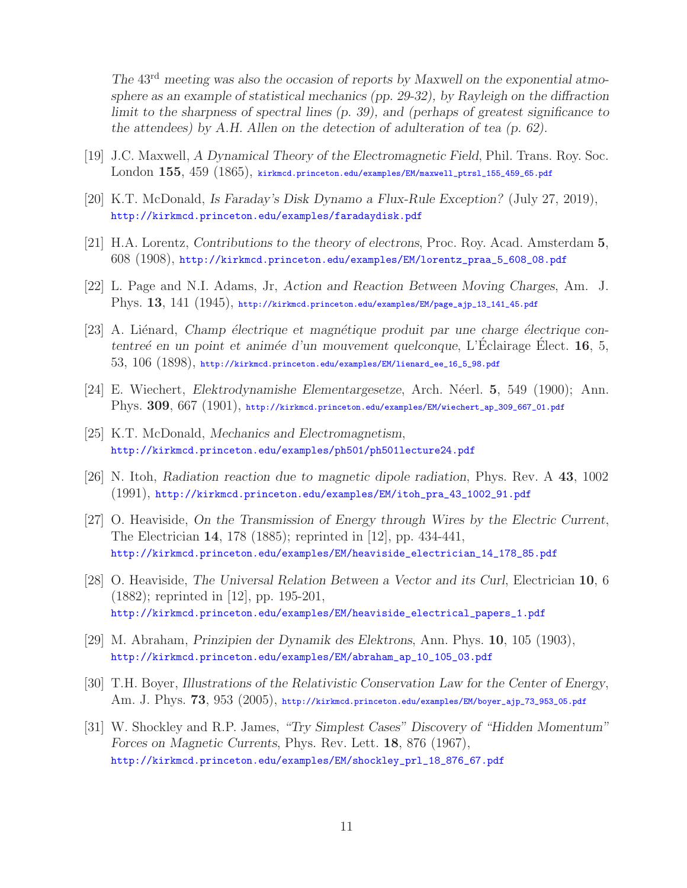*The* 43rd *meeting was also the occasion of reports by Maxwell on the exponential atmosphere as an example of statistical mechanics (pp. 29-32), by Rayleigh on the diffraction limit to the sharpness of spectral lines (p. 39), and (perhaps of greatest significance to the attendees) by A.H. Allen on the detection of adulteration of tea (p. 62).*

- [19] J.C. Maxwell, *A Dynamical Theory of the Electromagnetic Field*, Phil. Trans. Roy. Soc. London **155**, 459 (1865), kirkmcd.princeton.edu/examples/EM/maxwell\_ptrsl\_155\_459\_65.pdf
- [20] K.T. McDonald, *Is Faraday's Disk Dynamo a Flux-Rule Exception?* (July 27, 2019), http://kirkmcd.princeton.edu/examples/faradaydisk.pdf
- [21] H.A. Lorentz, *Contributions to the theory of electrons*, Proc. Roy. Acad. Amsterdam **5**, 608 (1908), http://kirkmcd.princeton.edu/examples/EM/lorentz\_praa\_5\_608\_08.pdf
- [22] L. Page and N.I. Adams, Jr, *Action and Reaction Between Moving Charges*, Am. J. Phys. **13**, 141 (1945), http://kirkmcd.princeton.edu/examples/EM/page\_ajp\_13\_141\_45.pdf
- [23] A. Liénard, *Champ électrique et magnétique produit par une charge électrique contentreé en un point et animée d'un mouvement quelconque*, L'Eclairage Elect. **16**, 5, 53, 106 (1898), http://kirkmcd.princeton.edu/examples/EM/lienard\_ee\_16\_5\_98.pdf
- [24] E. Wiechert, *Elektrodynamishe Elementargesetze*, Arch. N´eerl. **5**, 549 (1900); Ann. Phys. **309**, 667 (1901), http://kirkmcd.princeton.edu/examples/EM/wiechert\_ap\_309\_667\_01.pdf
- [25] K.T. McDonald, *Mechanics and Electromagnetism*, http://kirkmcd.princeton.edu/examples/ph501/ph501lecture24.pdf
- [26] N. Itoh, *Radiation reaction due to magnetic dipole radiation*, Phys. Rev. A **43**, 1002 (1991), http://kirkmcd.princeton.edu/examples/EM/itoh\_pra\_43\_1002\_91.pdf
- [27] O. Heaviside, *On the Transmission of Energy through Wires by the Electric Current*, The Electrician **14**, 178 (1885); reprinted in [12], pp. 434-441, http://kirkmcd.princeton.edu/examples/EM/heaviside\_electrician\_14\_178\_85.pdf
- [28] O. Heaviside, *The Universal Relation Between a Vector and its Curl*, Electrician **10**, 6 (1882); reprinted in [12], pp. 195-201, http://kirkmcd.princeton.edu/examples/EM/heaviside\_electrical\_papers\_1.pdf
- [29] M. Abraham, *Prinzipien der Dynamik des Elektrons*, Ann. Phys. **10**, 105 (1903), http://kirkmcd.princeton.edu/examples/EM/abraham\_ap\_10\_105\_03.pdf
- [30] T.H. Boyer, *Illustrations of the Relativistic Conservation Law for the Center of Energy*, Am. J. Phys. **73**, 953 (2005), http://kirkmcd.princeton.edu/examples/EM/boyer\_ajp\_73\_953\_05.pdf
- [31] W. Shockley and R.P. James, *"Try Simplest Cases" Discovery of "Hidden Momentum" Forces on Magnetic Currents*, Phys. Rev. Lett. **18**, 876 (1967), http://kirkmcd.princeton.edu/examples/EM/shockley\_prl\_18\_876\_67.pdf